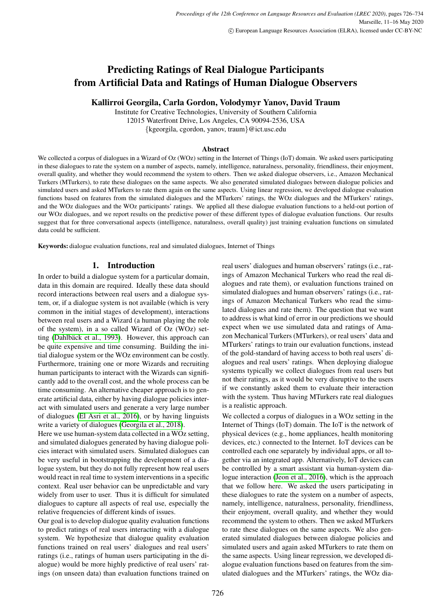# Predicting Ratings of Real Dialogue Participants from Artificial Data and Ratings of Human Dialogue Observers

# Kallirroi Georgila, Carla Gordon, Volodymyr Yanov, David Traum

Institute for Creative Technologies, University of Southern California 12015 Waterfront Drive, Los Angeles, CA 90094-2536, USA {kgeorgila, cgordon, yanov, traum}@ict.usc.edu

#### Abstract

We collected a corpus of dialogues in a Wizard of Oz (WOz) setting in the Internet of Things (IoT) domain. We asked users participating in these dialogues to rate the system on a number of aspects, namely, intelligence, naturalness, personality, friendliness, their enjoyment, overall quality, and whether they would recommend the system to others. Then we asked dialogue observers, i.e., Amazon Mechanical Turkers (MTurkers), to rate these dialogues on the same aspects. We also generated simulated dialogues between dialogue policies and simulated users and asked MTurkers to rate them again on the same aspects. Using linear regression, we developed dialogue evaluation functions based on features from the simulated dialogues and the MTurkers' ratings, the WOz dialogues and the MTurkers' ratings, and the WOz dialogues and the WOz participants' ratings. We applied all these dialogue evaluation functions to a held-out portion of our WOz dialogues, and we report results on the predictive power of these different types of dialogue evaluation functions. Our results suggest that for three conversational aspects (intelligence, naturalness, overall quality) just training evaluation functions on simulated data could be sufficient.

Keywords: dialogue evaluation functions, real and simulated dialogues, Internet of Things

#### 1. Introduction

In order to build a dialogue system for a particular domain, data in this domain are required. Ideally these data should record interactions between real users and a dialogue system, or, if a dialogue system is not available (which is very common in the initial stages of development), interactions between real users and a Wizard (a human playing the role of the system), in a so called Wizard of Oz (WOz) setting (Dahlbäck et al., 1993). However, this approach can be quite expensive and time consuming. Building the initial dialogue system or the WOz environment can be costly. Furthermore, training one or more Wizards and recruiting human participants to interact with the Wizards can significantly add to the overall cost, and the whole process can be time consuming. An alternative cheaper approach is to generate artificial data, either by having dialogue policies interact with simulated users and generate a very large number of dialogues [\(El Asri et al., 2016\)](#page-7-1), or by having linguists write a variety of dialogues [\(Georgila et al., 2018\)](#page-7-2).

Here we use human-system data collected in a WOz setting, and simulated dialogues generated by having dialogue policies interact with simulated users. Simulated dialogues can be very useful in bootstrapping the development of a dialogue system, but they do not fully represent how real users would react in real time to system interventions in a specific context. Real user behavior can be unpredictable and vary widely from user to user. Thus it is difficult for simulated dialogues to capture all aspects of real use, especially the relative frequencies of different kinds of issues.

Our goal is to develop dialogue quality evaluation functions to predict ratings of real users interacting with a dialogue system. We hypothesize that dialogue quality evaluation functions trained on real users' dialogues and real users' ratings (i.e., ratings of human users participating in the dialogue) would be more highly predictive of real users' ratings (on unseen data) than evaluation functions trained on real users' dialogues and human observers' ratings (i.e., ratings of Amazon Mechanical Turkers who read the real dialogues and rate them), or evaluation functions trained on simulated dialogues and human observers' ratings (i.e., ratings of Amazon Mechanical Turkers who read the simulated dialogues and rate them). The question that we want to address is what kind of error in our predictions we should expect when we use simulated data and ratings of Amazon Mechanical Turkers (MTurkers), or real users' data and MTurkers' ratings to train our evaluation functions, instead of the gold-standard of having access to both real users' dialogues and real users' ratings. When deploying dialogue systems typically we collect dialogues from real users but not their ratings, as it would be very disruptive to the users if we constantly asked them to evaluate their interaction with the system. Thus having MTurkers rate real dialogues is a realistic approach.

We collected a corpus of dialogues in a WOz setting in the Internet of Things (IoT) domain. The IoT is the network of physical devices (e.g., home appliances, health monitoring devices, etc.) connected to the Internet. IoT devices can be controlled each one separately by individual apps, or all together via an integrated app. Alternatively, IoT devices can be controlled by a smart assistant via human-system dialogue interaction [\(Jeon et al., 2016\)](#page-7-3), which is the approach that we follow here. We asked the users participating in these dialogues to rate the system on a number of aspects, namely, intelligence, naturalness, personality, friendliness, their enjoyment, overall quality, and whether they would recommend the system to others. Then we asked MTurkers to rate these dialogues on the same aspects. We also generated simulated dialogues between dialogue policies and simulated users and again asked MTurkers to rate them on the same aspects. Using linear regression, we developed dialogue evaluation functions based on features from the simulated dialogues and the MTurkers' ratings, the WOz dia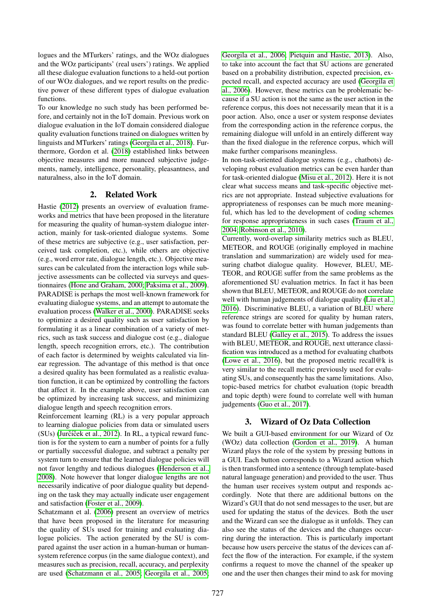logues and the MTurkers' ratings, and the WOz dialogues and the WOz participants' (real users') ratings. We applied all these dialogue evaluation functions to a held-out portion of our WOz dialogues, and we report results on the predictive power of these different types of dialogue evaluation functions.

To our knowledge no such study has been performed before, and certainly not in the IoT domain. Previous work on dialogue evaluation in the IoT domain considered dialogue quality evaluation functions trained on dialogues written by linguists and MTurkers' ratings [\(Georgila et al., 2018\)](#page-7-2). Furthermore, Gordon et al. [\(2018\)](#page-7-4) established links between objective measures and more nuanced subjective judgements, namely, intelligence, personality, pleasantness, and naturalness, also in the IoT domain.

# 2. Related Work

Hastie [\(2012\)](#page-7-5) presents an overview of evaluation frameworks and metrics that have been proposed in the literature for measuring the quality of human-system dialogue interaction, mainly for task-oriented dialogue systems. Some of these metrics are subjective (e.g., user satisfaction, perceived task completion, etc.), while others are objective (e.g., word error rate, dialogue length, etc.). Objective measures can be calculated from the interaction logs while subjective assessments can be collected via surveys and questionnaires [\(Hone and Graham, 2000;](#page-7-6) [Paksima et al., 2009\)](#page-8-0). PARADISE is perhaps the most well-known framework for evaluating dialogue systems, and an attempt to automate the evaluation process [\(Walker et al., 2000\)](#page-8-1). PARADISE seeks to optimize a desired quality such as user satisfaction by formulating it as a linear combination of a variety of metrics, such as task success and dialogue cost (e.g., dialogue length, speech recognition errors, etc.). The contribution of each factor is determined by weights calculated via linear regression. The advantage of this method is that once a desired quality has been formulated as a realistic evaluation function, it can be optimized by controlling the factors that affect it. In the example above, user satisfaction can be optimized by increasing task success, and minimizing dialogue length and speech recognition errors.

Reinforcement learning (RL) is a very popular approach to learning dialogue policies from data or simulated users  $(SUs)$  (Jurčíček et al., 2012). In RL, a typical reward function is for the system to earn a number of points for a fully or partially successful dialogue, and subtract a penalty per system turn to ensure that the learned dialogue policies will not favor lengthy and tedious dialogues [\(Henderson et al.,](#page-7-8) [2008\)](#page-7-8). Note however that longer dialogue lengths are not necessarily indicative of poor dialogue quality but depending on the task they may actually indicate user engagement and satisfaction [\(Foster et al., 2009\)](#page-7-9).

Schatzmann et al. [\(2006\)](#page-8-2) present an overview of metrics that have been proposed in the literature for measuring the quality of SUs used for training and evaluating dialogue policies. The action generated by the SU is compared against the user action in a human-human or humansystem reference corpus (in the same dialogue context), and measures such as precision, recall, accuracy, and perplexity are used [\(Schatzmann et al., 2005;](#page-8-3) [Georgila et al., 2005;](#page-7-10)

[Georgila et al., 2006;](#page-7-11) [Pietquin and Hastie, 2013\)](#page-8-4). Also, to take into account the fact that SU actions are generated based on a probability distribution, expected precision, expected recall, and expected accuracy are used [\(Georgila et](#page-7-11) [al., 2006\)](#page-7-11). However, these metrics can be problematic because if a SU action is not the same as the user action in the reference corpus, this does not necessarily mean that it is a poor action. Also, once a user or system response deviates from the corresponding action in the reference corpus, the remaining dialogue will unfold in an entirely different way than the fixed dialogue in the reference corpus, which will make further comparisons meaningless.

In non-task-oriented dialogue systems (e.g., chatbots) developing robust evaluation metrics can be even harder than for task-oriented dialogue [\(Misu et al., 2012\)](#page-8-5). Here it is not clear what success means and task-specific objective metrics are not appropriate. Instead subjective evaluations for appropriateness of responses can be much more meaningful, which has led to the development of coding schemes for response appropriateness in such cases [\(Traum et al.,](#page-8-6) [2004;](#page-8-6) [Robinson et al., 2010\)](#page-8-7).

Currently, word-overlap similarity metrics such as BLEU, METEOR, and ROUGE (originally employed in machine translation and summarization) are widely used for measuring chatbot dialogue quality. However, BLEU, ME-TEOR, and ROUGE suffer from the same problems as the aforementioned SU evaluation metrics. In fact it has been shown that BLEU, METEOR, and ROUGE do not correlate well with human judgements of dialogue quality [\(Liu et al.,](#page-8-8) [2016\)](#page-8-8). Discriminative BLEU, a variation of BLEU where reference strings are scored for quality by human raters, was found to correlate better with human judgements than standard BLEU [\(Galley et al., 2015\)](#page-7-12). To address the issues with BLEU, METEOR, and ROUGE, next utterance classification was introduced as a method for evaluating chatbots [\(Lowe et al., 2016\)](#page-8-9), but the proposed metric recall@k is very similar to the recall metric previously used for evaluating SUs, and consequently has the same limitations. Also, topic-based metrics for chatbot evaluation (topic breadth and topic depth) were found to correlate well with human judgements [\(Guo et al., 2017\)](#page-7-13).

# 3. Wizard of Oz Data Collection

We built a GUI-based environment for our Wizard of Oz (WOz) data collection [\(Gordon et al., 2019\)](#page-7-14). A human Wizard plays the role of the system by pressing buttons in a GUI. Each button corresponds to a Wizard action which is then transformed into a sentence (through template-based natural language generation) and provided to the user. Thus the human user receives system output and responds accordingly. Note that there are additional buttons on the Wizard's GUI that do not send messages to the user, but are used for updating the status of the devices. Both the user and the Wizard can see the dialogue as it unfolds. They can also see the status of the devices and the changes occurring during the interaction. This is particularly important because how users perceive the status of the devices can affect the flow of the interaction. For example, if the system confirms a request to move the channel of the speaker up one and the user then changes their mind to ask for moving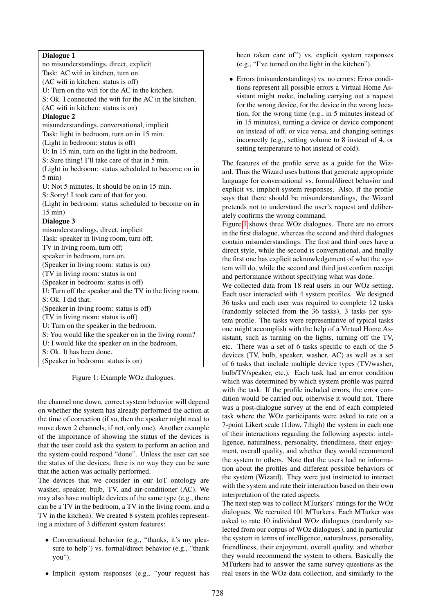#### Dialogue 1

no misunderstandings, direct, explicit Task: AC wifi in kitchen, turn on. (AC wifi in kitchen: status is off) U: Turn on the wifi for the AC in the kitchen. S: Ok. I connected the wifi for the AC in the kitchen. (AC wifi in kitchen: status is on) Dialogue 2 misunderstandings, conversational, implicit Task: light in bedroom, turn on in 15 min. (Light in bedroom: status is off) U: In 15 min, turn on the light in the bedroom. S: Sure thing! I'll take care of that in 5 min. (Light in bedroom: status scheduled to become on in 5 min) U: Not 5 minutes. It should be on in 15 min. S: Sorry! I took care of that for you. (Light in bedroom: status scheduled to become on in 15 min) Dialogue 3 misunderstandings, direct, implicit Task: speaker in living room, turn off; TV in living room, turn off; speaker in bedroom, turn on. (Speaker in living room: status is on) (TV in living room: status is on) (Speaker in bedroom: status is off) U: Turn off the speaker and the TV in the living room. S: Ok. I did that. (Speaker in living room: status is off) (TV in living room: status is off) U: Turn on the speaker in the bedroom. S: You would like the speaker on in the living room? U: I would like the speaker on in the bedroom. S: Ok. It has been done. (Speaker in bedroom: status is on)

<span id="page-2-0"></span>Figure 1: Example WOz dialogues.

the channel one down, correct system behavior will depend on whether the system has already performed the action at the time of correction (if so, then the speaker might need to move down 2 channels, if not, only one). Another example of the importance of showing the status of the devices is that the user could ask the system to perform an action and the system could respond "done". Unless the user can see the status of the devices, there is no way they can be sure that the action was actually performed.

The devices that we consider in our IoT ontology are washer, speaker, bulb, TV, and air-conditioner (AC). We may also have multiple devices of the same type (e.g., there can be a TV in the bedroom, a TV in the living room, and a TV in the kitchen). We created 8 system profiles representing a mixture of 3 different system features:

- Conversational behavior (e.g., "thanks, it's my pleasure to help") vs. formal/direct behavior (e.g., "thank you").
- Implicit system responses (e.g., "your request has

been taken care of") vs. explicit system responses (e.g., "I've turned on the light in the kitchen").

• Errors (misunderstandings) vs. no errors: Error conditions represent all possible errors a Virtual Home Assistant might make, including carrying out a request for the wrong device, for the device in the wrong location, for the wrong time (e.g., in 5 minutes instead of in 15 minutes), turning a device or device component on instead of off, or vice versa, and changing settings incorrectly (e.g., setting volume to 8 instead of 4, or setting temperature to hot instead of cold).

The features of the profile serve as a guide for the Wizard. Thus the Wizard uses buttons that generate appropriate language for conversational vs. formal/direct behavior and explicit vs. implicit system responses. Also, if the profile says that there should be misunderstandings, the Wizard pretends not to understand the user's request and deliberately confirms the wrong command.

Figure [1](#page-2-0) shows three WOz dialogues. There are no errors in the first dialogue, whereas the second and third dialogues contain misunderstandings. The first and third ones have a direct style, while the second is conversational, and finally the first one has explicit acknowledgement of what the system will do, while the second and third just confirm receipt and performance without specifying what was done.

We collected data from 18 real users in our WOz setting. Each user interacted with 4 system profiles. We designed 36 tasks and each user was required to complete 12 tasks (randomly selected from the 36 tasks), 3 tasks per system profile. The tasks were representative of typical tasks one might accomplish with the help of a Virtual Home Assistant, such as turning on the lights, turning off the TV, etc. There was a set of 6 tasks specific to each of the 5 devices (TV, bulb, speaker, washer, AC) as well as a set of 6 tasks that include multiple device types (TV/washer, bulb/TV/speaker, etc.). Each task had an error condition which was determined by which system profile was paired with the task. If the profile included errors, the error condition would be carried out, otherwise it would not. There was a post-dialogue survey at the end of each completed task where the WOz participants were asked to rate on a 7-point Likert scale (1:low, 7:high) the system in each one of their interactions regarding the following aspects: intelligence, naturalness, personality, friendliness, their enjoyment, overall quality, and whether they would recommend the system to others. Note that the users had no information about the profiles and different possible behaviors of the system (Wizard). They were just instructed to interact with the system and rate their interaction based on their own interpretation of the rated aspects.

The next step was to collect MTurkers' ratings for the WOz dialogues. We recruited 101 MTurkers. Each MTurker was asked to rate 10 individual WOz dialogues (randomly selected from our corpus of WOz dialogues), and in particular the system in terms of intelligence, naturalness, personality, friendliness, their enjoyment, overall quality, and whether they would recommend the system to others. Basically the MTurkers had to answer the same survey questions as the real users in the WOz data collection, and similarly to the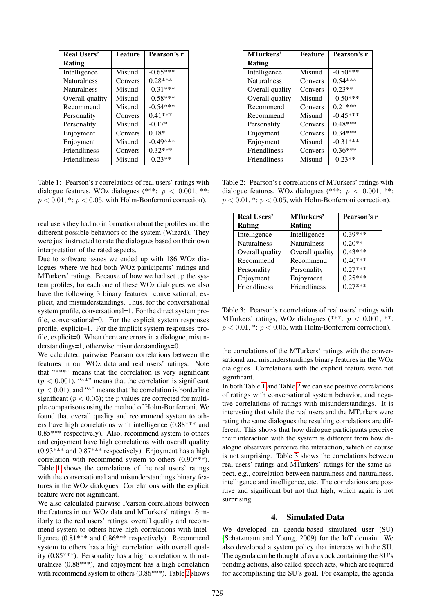| <b>Real Users'</b>  | Feature | Pearson's r |
|---------------------|---------|-------------|
| Rating              |         |             |
| Intelligence        | Misund  | $-0.65***$  |
| <b>Naturalness</b>  | Convers | $0.28***$   |
| <b>Naturalness</b>  | Misund  | $-0.31***$  |
| Overall quality     | Misund  | $-0.58***$  |
| Recommend           | Misund  | $-0.54***$  |
| Personality         | Convers | $0.41***$   |
| Personality         | Misund  | $-0.17*$    |
| Enjoyment           | Convers | $0.18*$     |
| Enjoyment           | Misund  | $-0.49***$  |
| <b>Friendliness</b> | Convers | $0.32***$   |
| <b>Friendliness</b> | Misund  | $-0.23**$   |

<span id="page-3-0"></span>Table 1: Pearson's r correlations of real users' ratings with dialogue features, WOz dialogues (\*\*\*:  $p < 0.001$ , \*\*:  $p < 0.01$ , \*:  $p < 0.05$ , with Holm-Bonferroni correction).

real users they had no information about the profiles and the different possible behaviors of the system (Wizard). They were just instructed to rate the dialogues based on their own interpretation of the rated aspects.

Due to software issues we ended up with 186 WOz dialogues where we had both WOz participants' ratings and MTurkers' ratings. Because of how we had set up the system profiles, for each one of these WOz dialogues we also have the following 3 binary features: conversational, explicit, and misunderstandings. Thus, for the conversational system profile, conversational=1. For the direct system profile, conversational=0. For the explicit system responses profile, explicit=1. For the implicit system responses profile, explicit=0. When there are errors in a dialogue, misunderstandings=1, otherwise misunderstandings=0.

We calculated pairwise Pearson correlations between the features in our WOz data and real users' ratings. Note that "\*\*\*" means that the correlation is very significant  $(p < 0.001)$ , "\*\*" means that the correlation is significant  $(p < 0.01)$ , and "\*" means that the correlation is borderline significant ( $p < 0.05$ ); the p values are corrected for multiple comparisons using the method of Holm-Bonferroni. We found that overall quality and recommend system to others have high correlations with intelligence (0.88\*\*\* and 0.85\*\*\* respectively). Also, recommend system to others and enjoyment have high correlations with overall quality  $(0.93***<sup>**</sup> and 0.87***<sup>**</sup> respectively).$  Enjoyment has a high correlation with recommend system to others (0.90\*\*\*). Table [1](#page-3-0) shows the correlations of the real users' ratings with the conversational and misunderstandings binary features in the WOz dialogues. Correlations with the explicit feature were not significant.

We also calculated pairwise Pearson correlations between the features in our WOz data and MTurkers' ratings. Similarly to the real users' ratings, overall quality and recommend system to others have high correlations with intelligence (0.81\*\*\* and 0.86\*\*\* respectively). Recommend system to others has a high correlation with overall quality (0.85\*\*\*). Personality has a high correlation with naturalness (0.88\*\*\*), and enjoyment has a high correlation with recommend system to others (0.86\*\*\*). Table [2](#page-3-1) shows

| MTurkers'           | <b>Feature</b> | Pearson's r |
|---------------------|----------------|-------------|
| Rating              |                |             |
| Intelligence        | Misund         | $-0.50***$  |
| <b>Naturalness</b>  | Convers        | $0.54***$   |
| Overall quality     | Convers        | $0.23**$    |
| Overall quality     | Misund         | $-0.50***$  |
| Recommend           | Convers        | $0.21***$   |
| Recommend           | Misund         | $-0.45***$  |
| Personality         | Convers        | $0.48***$   |
| Enjoyment           | Convers        | $0.34***$   |
| Enjoyment           | Misund         | $-0.31***$  |
| <b>Friendliness</b> | Convers        | $0.36***$   |
| <b>Friendliness</b> | Misund         | $-0.23**$   |

<span id="page-3-1"></span>Table 2: Pearson's r correlations of MTurkers' ratings with dialogue features, WOz dialogues (\*\*\*:  $p < 0.001$ , \*\*:  $p < 0.01$ , \*:  $p < 0.05$ , with Holm-Bonferroni correction).

| <b>Real Users'</b> | <b>MTurkers'</b>   | Pearson's r |
|--------------------|--------------------|-------------|
| Rating             | <b>Rating</b>      |             |
| Intelligence       | Intelligence       | $0.39***$   |
| <b>Naturalness</b> | <b>Naturalness</b> | $0.20**$    |
| Overall quality    | Overall quality    | $0.43***$   |
| Recommend          | Recommend          | $0.40***$   |
| Personality        | Personality        | $0.27***$   |
| Enjoyment          | Enjoyment          | $0.25***$   |
| Friendliness       | Friendliness       | $0.27***$   |

<span id="page-3-2"></span>Table 3: Pearson's r correlations of real users' ratings with MTurkers' ratings, WOz dialogues (\*\*\*:  $p < 0.001$ , \*\*:  $p < 0.01$ , \*:  $p < 0.05$ , with Holm-Bonferroni correction).

the correlations of the MTurkers' ratings with the conversational and misunderstandings binary features in the WOz dialogues. Correlations with the explicit feature were not significant.

In both Table [1](#page-3-0) and Table [2](#page-3-1) we can see positive correlations of ratings with conversational system behavior, and negative correlations of ratings with misunderstandings. It is interesting that while the real users and the MTurkers were rating the same dialogues the resulting correlations are different. This shows that how dialogue participants perceive their interaction with the system is different from how dialogue observers perceive the interaction, which of course is not surprising. Table [3](#page-3-2) shows the correlations between real users' ratings and MTurkers' ratings for the same aspect, e.g., correlation between naturalness and naturalness, intelligence and intelligence, etc. The correlations are positive and significant but not that high, which again is not surprising.

#### 4. Simulated Data

We developed an agenda-based simulated user (SU) [\(Schatzmann and Young, 2009\)](#page-8-10) for the IoT domain. We also developed a system policy that interacts with the SU. The agenda can be thought of as a stack containing the SU's pending actions, also called speech acts, which are required for accomplishing the SU's goal. For example, the agenda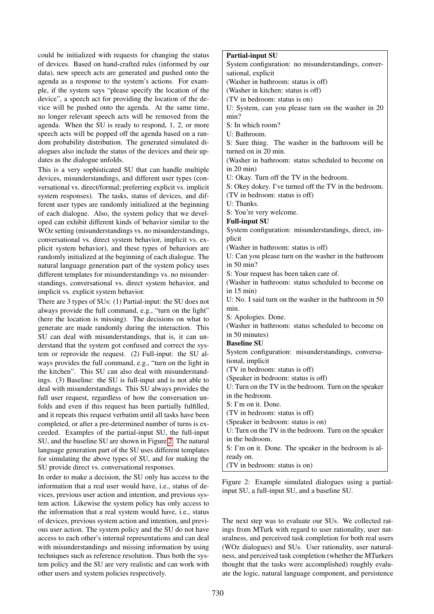could be initialized with requests for changing the status of devices. Based on hand-crafted rules (informed by our data), new speech acts are generated and pushed onto the agenda as a response to the system's actions. For example, if the system says "please specify the location of the device", a speech act for providing the location of the device will be pushed onto the agenda. At the same time, no longer relevant speech acts will be removed from the agenda. When the SU is ready to respond, 1, 2, or more speech acts will be popped off the agenda based on a random probability distribution. The generated simulated dialogues also include the status of the devices and their updates as the dialogue unfolds.

This is a very sophisticated SU that can handle multiple devices, misunderstandings, and different user types (conversational vs. direct/formal; preferring explicit vs. implicit system responses). The tasks, status of devices, and different user types are randomly initialized at the beginning of each dialogue. Also, the system policy that we developed can exhibit different kinds of behavior similar to the WOz setting (misunderstandings vs. no misunderstandings, conversational vs. direct system behavior, implicit vs. explicit system behavior), and these types of behaviors are randomly initialized at the beginning of each dialogue. The natural language generation part of the system policy uses different templates for misunderstandings vs. no misunderstandings, conversational vs. direct system behavior, and implicit vs. explicit system behavior.

There are 3 types of SUs: (1) Partial-input: the SU does not always provide the full command, e.g., "turn on the light" (here the location is missing). The decisions on what to generate are made randomly during the interaction. This SU can deal with misunderstandings, that is, it can understand that the system got confused and correct the system or reprovide the request. (2) Full-input: the SU always provides the full command, e.g., "turn on the light in the kitchen". This SU can also deal with misunderstandings. (3) Baseline: the SU is full-input and is not able to deal with misunderstandings. This SU always provides the full user request, regardless of how the conversation unfolds and even if this request has been partially fulfilled, and it repeats this request verbatim until all tasks have been completed, or after a pre-determined number of turns is exceeded. Examples of the partial-input SU, the full-input SU, and the baseline SU are shown in Figure [2.](#page-4-0) The natural language generation part of the SU uses different templates for simulating the above types of SU, and for making the SU provide direct vs. conversational responses.

In order to make a decision, the SU only has access to the information that a real user would have, i.e., status of devices, previous user action and intention, and previous system action. Likewise the system policy has only access to the information that a real system would have, i.e., status of devices, previous system action and intention, and previous user action. The system policy and the SU do not have access to each other's internal representations and can deal with misunderstandings and missing information by using techniques such as reference resolution. Thus both the system policy and the SU are very realistic and can work with other users and system policies respectively.

# Partial-input SU

System configuration: no misunderstandings, conversational, explicit (Washer in bathroom: status is off) (Washer in kitchen: status is off) (TV in bedroom: status is on) U: System, can you please turn on the washer in 20 min? S: In which room? U: Bathroom. S: Sure thing. The washer in the bathroom will be turned on in 20 min. (Washer in bathroom: status scheduled to become on in 20 min) U: Okay. Turn off the TV in the bedroom. S: Okey dokey. I've turned off the TV in the bedroom. (TV in bedroom: status is off) U: Thanks. S: You're very welcome. Full-input SU System configuration: misunderstandings, direct, implicit (Washer in bathroom: status is off) U: Can you please turn on the washer in the bathroom in 50 min? S: Your request has been taken care of. (Washer in bathroom: status scheduled to become on in 15 min) U: No. I said turn on the washer in the bathroom in 50 min. S: Apologies. Done. (Washer in bathroom: status scheduled to become on in 50 minutes) Baseline SU System configuration: misunderstandings, conversational, implicit (TV in bedroom: status is off) (Speaker in bedroom: status is off) U: Turn on the TV in the bedroom. Turn on the speaker in the bedroom. S: I'm on it. Done. (TV in bedroom: status is off) (Speaker in bedroom: status is on) U: Turn on the TV in the bedroom. Turn on the speaker in the bedroom. S: I'm on it. Done. The speaker in the bedroom is already on.

(TV in bedroom: status is on)

<span id="page-4-0"></span>Figure 2: Example simulated dialogues using a partialinput SU, a full-input SU, and a baseline SU.

The next step was to evaluate our SUs. We collected ratings from MTurk with regard to user rationality, user naturalness, and perceived task completion for both real users (WOz dialogues) and SUs. User rationality, user naturalness, and perceived task completion (whether the MTurkers thought that the tasks were accomplished) roughly evaluate the logic, natural language component, and persistence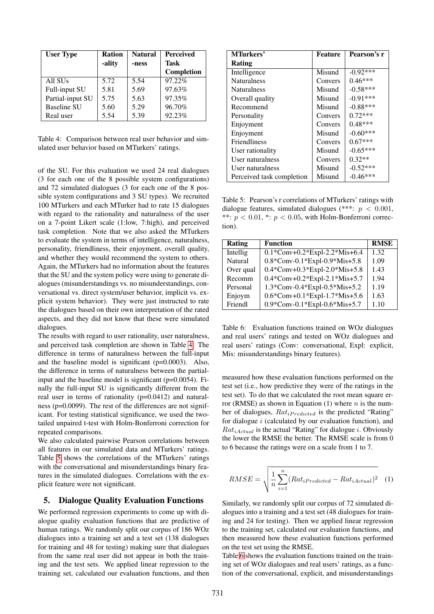| <b>User Type</b>    | <b>Ration</b> | <b>Natural</b> | <b>Perceived</b> |
|---------------------|---------------|----------------|------------------|
|                     | -ality        | -ness          | Task             |
|                     |               |                | Completion       |
| All SU <sub>s</sub> | 5.72          | 5.54           | 97.22%           |
| Full-input SU       | 5.81          | 5.69           | 97.63%           |
| Partial-input SU    | 5.75          | 5.63           | 97.35%           |
| <b>Baseline SU</b>  | 5.60          | 5.29           | 96.70%           |
| Real user           | 5.54          | 5.39           | 92.23%           |

<span id="page-5-0"></span>Table 4: Comparison between real user behavior and simulated user behavior based on MTurkers' ratings.

of the SU. For this evaluation we used 24 real dialogues (3 for each one of the 8 possible system configurations) and 72 simulated dialogues (3 for each one of the 8 possible system configurations and 3 SU types). We recruited 100 MTurkers and each MTurker had to rate 15 dialogues with regard to the rationality and naturalness of the user on a 7-point Likert scale (1:low, 7:high), and perceived task completion. Note that we also asked the MTurkers to evaluate the system in terms of intelligence, naturalness, personality, friendliness, their enjoyment, overall quality, and whether they would recommend the system to others. Again, the MTurkers had no information about the features that the SU and the system policy were using to generate dialogues (misunderstandings vs. no misunderstandings, conversational vs. direct system/user behavior, implicit vs. explicit system behavior). They were just instructed to rate the dialogues based on their own interpretation of the rated aspects, and they did not know that these were simulated dialogues.

The results with regard to user rationality, user naturalness, and perceived task completion are shown in Table [4.](#page-5-0) The difference in terms of naturalness between the full-input and the baseline model is significant (p=0.0003). Also, the difference in terms of naturalness between the partialinput and the baseline model is significant (p=0.0054). Finally the full-input SU is significantly different from the real user in terms of rationality (p=0.0412) and naturalness (p=0.0099). The rest of the differences are not significant. For testing statistical significance, we used the twotailed unpaired t-test with Holm-Bonferroni correction for repeated comparisons.

We also calculated pairwise Pearson correlations between all features in our simulated data and MTurkers' ratings. Table [5](#page-5-1) shows the correlations of the MTurkers' ratings with the conversational and misunderstandings binary features in the simulated dialogues. Correlations with the explicit feature were not significant.

# 5. Dialogue Quality Evaluation Functions

We performed regression experiments to come up with dialogue quality evaluation functions that are predictive of human ratings. We randomly split our corpus of 186 WOz dialogues into a training set and a test set (138 dialogues for training and 48 for testing) making sure that dialogues from the same real user did not appear in both the training and the test sets. We applied linear regression to the training set, calculated our evaluation functions, and then

| MTurkers'                 | Feature | Pearson's r |
|---------------------------|---------|-------------|
| Rating                    |         |             |
| Intelligence              | Misund  | $-0.92***$  |
| <b>Naturalness</b>        | Convers | $0.46***$   |
| <b>Naturalness</b>        | Misund  | $-0.58***$  |
| Overall quality           | Misund  | $-0.91***$  |
| Recommend                 | Misund  | $-0.88***$  |
| Personality               | Convers | $0.72***$   |
| Enjoyment                 | Convers | $0.48***$   |
| Enjoyment                 | Misund  | $-0.60***$  |
| <b>Friendliness</b>       | Convers | $0.67***$   |
| User rationality          | Misund  | $-0.65***$  |
| User naturalness          | Convers | $0.32**$    |
| User naturalness          | Misund  | $-0.52***$  |
| Perceived task completion | Misund  | $-0.46***$  |

<span id="page-5-1"></span>Table 5: Pearson's r correlations of MTurkers' ratings with dialogue features, simulated dialogues (\*\*\*:  $p < 0.001$ , \*\*:  $p < 0.01$ , \*:  $p < 0.05$ , with Holm-Bonferroni correction).

| Rating         | <b>Function</b>                 | <b>RMSE</b> |
|----------------|---------------------------------|-------------|
| Intellig       | $0.1*Conv+0.2*Expl-2.2*Mis+6.4$ | 1.32        |
| <b>Natural</b> | 0.8*Conv-0.1*Expl-0.9*Mis+5.8   | 1.09        |
| Over qual      | 0.4*Conv+0.3*Expl-2.0*Mis+5.8   | 1.43        |
| Recomm         | 0.4*Conv+0.2*Expl-2.1*Mis+5.7   | 1.94        |
| Personal       | 1.3*Conv-0.4*Expl-0.5*Mis+5.2   | 1.19        |
| Enjoym         | 0.6*Conv+0.1*Expl-1.7*Mis+5.6   | 1.63        |
| Friendl        | 0.9*Conv-0.1*Expl-0.6*Mis+5.7   | 1.10        |

<span id="page-5-2"></span>Table 6: Evaluation functions trained on WOz dialogues and real users' ratings and tested on WOz dialogues and real users' ratings (Conv: conversational, Expl: explicit, Mis: misunderstandings binary features).

measured how these evaluation functions performed on the test set (i.e., how predictive they were of the ratings in the test set). To do that we calculated the root mean square error (RMSE) as shown in Equation (1) where *n* is the number of dialogues,  $Rat_{iPredicted}$  is the predicted "Rating" for dialogue  $i$  (calculated by our evaluation function), and  $Rat_{iActual}$  is the actual "Rating" for dialogue *i*. Obviously the lower the RMSE the better. The RMSE scale is from 0 to 6 because the ratings were on a scale from 1 to 7.

$$
RMSE = \sqrt{\frac{1}{n} \sum_{i=1}^{n} (Rat_{iPredicted} - Rat_{iActual})^2}
$$
 (1)

Similarly, we randomly split our corpus of 72 simulated dialogues into a training and a test set (48 dialogues for training and 24 for testing). Then we applied linear regression to the training set, calculated our evaluation functions, and then measured how these evaluation functions performed on the test set using the RMSE.

Table [6](#page-5-2) shows the evaluation functions trained on the training set of WOz dialogues and real users' ratings, as a function of the conversational, explicit, and misunderstandings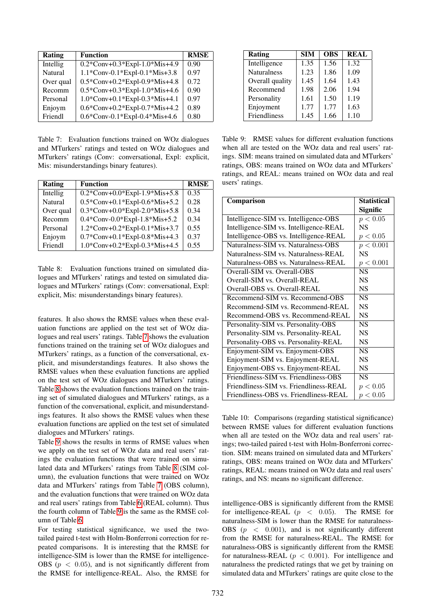| Rating    | <b>Function</b>                             | <b>RMSE</b> |
|-----------|---------------------------------------------|-------------|
| Intellig  | $0.2$ *Conv+0.3*Expl-1.0*Mis+4.9            | 0.90        |
| Natural   | 1.1*Conv-0.1*Expl-0.1*Mis+3.8               | 0.97        |
| Over qual | $0.5 * Conv + 0.2 * Exp1 - 0.9 * Mis + 4.8$ | 0.72        |
| Recomm    | $0.5 * Conv + 0.3 * Exp1 - 1.0 * Mis + 4.6$ | 0.90        |
| Personal  | 1.0*Conv+0.1*Expl-0.3*Mis+4.1               | 0.97        |
| Enjoym    | $0.6*Conv+0.2*Exp1-0.7*Mis+4.2$             | 0.89        |
| Friendl   | 0.6*Conv-0.1*Expl-0.4*Mis+4.6               | 0.80        |

<span id="page-6-0"></span>Table 7: Evaluation functions trained on WOz dialogues and MTurkers' ratings and tested on WOz dialogues and MTurkers' ratings (Conv: conversational, Expl: explicit, Mis: misunderstandings binary features).

| <b>Rating</b> | <b>Function</b>                  | <b>RMSE</b> |
|---------------|----------------------------------|-------------|
| Intellig      | $0.2$ *Conv+0.0*Expl-1.9*Mis+5.8 | 0.35        |
| Natural       | 0.5*Conv+0.1*Expl-0.6*Mis+5.2    | 0.28        |
| Over qual     | $0.3*Conv+0.0*Exp1-2.0*Mis+5.8$  | 0.34        |
| Recomm        | 0.4*Conv-0.0*Expl-1.8*Mis+5.2    | 0.34        |
| Personal      | 1.2*Conv+0.2*Expl-0.1*Mis+3.7    | 0.55        |
| Enjoym        | 0.7*Conv+0.1*Expl-0.8*Mis+4.3    | 0.37        |
| Friendl       | 1.0*Conv+0.2*Expl-0.3*Mis+4.5    | 0.55        |

<span id="page-6-1"></span>Table 8: Evaluation functions trained on simulated dialogues and MTurkers' ratings and tested on simulated dialogues and MTurkers' ratings (Conv: conversational, Expl: explicit, Mis: misunderstandings binary features).

features. It also shows the RMSE values when these evaluation functions are applied on the test set of WOz dialogues and real users' ratings. Table [7](#page-6-0) shows the evaluation functions trained on the training set of WOz dialogues and MTurkers' ratings, as a function of the conversational, explicit, and misunderstandings features. It also shows the RMSE values when these evaluation functions are applied on the test set of WOz dialogues and MTurkers' ratings. Table [8](#page-6-1) shows the evaluation functions trained on the training set of simulated dialogues and MTurkers' ratings, as a function of the conversational, explicit, and misunderstandings features. It also shows the RMSE values when these evaluation functions are applied on the test set of simulated dialogues and MTurkers' ratings.

Table [9](#page-6-2) shows the results in terms of RMSE values when we apply on the test set of WOz data and real users' ratings the evaluation functions that were trained on simulated data and MTurkers' ratings from Table [8](#page-6-1) (SIM column), the evaluation functions that were trained on WOz data and MTurkers' ratings from Table [7](#page-6-0) (OBS column), and the evaluation functions that were trained on WOz data and real users' ratings from Table [6](#page-5-2) (REAL column). Thus the fourth column of Table [9](#page-6-2) is the same as the RMSE column of Table [6.](#page-5-2)

For testing statistical significance, we used the twotailed paired t-test with Holm-Bonferroni correction for repeated comparisons. It is interesting that the RMSE for intelligence-SIM is lower than the RMSE for intelligence-OBS ( $p < 0.05$ ), and is not significantly different from the RMSE for intelligence-REAL. Also, the RMSE for

| Rating              | <b>SIM</b> | <b>OBS</b> | <b>REAL</b> |
|---------------------|------------|------------|-------------|
| Intelligence        | 1.35       | 1.56       | 1.32        |
| <b>Naturalness</b>  | 1.23       | 1.86       | 1.09        |
| Overall quality     | 1.45       | 1.64       | 1.43        |
| Recommend           | 1.98       | 2.06       | 1.94        |
| Personality         | 1.61       | 1.50       | 1.19        |
| Enjoyment           | 1.77       | 1.77       | 1.63        |
| <b>Friendliness</b> | 1.45       | 1.66       | 1.10        |

<span id="page-6-2"></span>Table 9: RMSE values for different evaluation functions when all are tested on the WOz data and real users' ratings. SIM: means trained on simulated data and MTurkers' ratings, OBS: means trained on WOz data and MTurkers' ratings, and REAL: means trained on WOz data and real users' ratings.

| Comparison                             | <b>Statistical</b> |
|----------------------------------------|--------------------|
|                                        | Signific           |
| Intelligence-SIM vs. Intelligence-OBS  | p < 0.05           |
| Intelligence-SIM vs. Intelligence-REAL | <b>NS</b>          |
| Intelligence-OBS vs. Intelligence-REAL | p < 0.05           |
| Naturalness-SIM vs. Naturalness-OBS    | p < 0.001          |
| Naturalness-SIM vs. Naturalness-REAL   | <b>NS</b>          |
| Naturalness-OBS vs. Naturalness-REAL   | p < 0.001          |
| Overall-SIM vs. Overall-OBS            | <b>NS</b>          |
| Overall-SIM vs. Overall-REAL           | <b>NS</b>          |
| Overall-OBS vs. Overall-REAL           | <b>NS</b>          |
| Recommend-SIM vs. Recommend-OBS        | <b>NS</b>          |
| Recommend-SIM vs. Recommend-REAL       | <b>NS</b>          |
| Recommend-OBS vs. Recommend-REAL       | <b>NS</b>          |
| Personality-SIM vs. Personality-OBS    | <b>NS</b>          |
| Personality-SIM vs. Personality-REAL   | <b>NS</b>          |
| Personality-OBS vs. Personality-REAL   | <b>NS</b>          |
| Enjoyment-SIM vs. Enjoyment-OBS        | <b>NS</b>          |
| Enjoyment-SIM vs. Enjoyment-REAL       | <b>NS</b>          |
| Enjoyment-OBS vs. Enjoyment-REAL       | <b>NS</b>          |
| Friendliness-SIM vs. Friendliness-OBS  | <b>NS</b>          |
| Friendliness-SIM vs. Friendliness-REAL | p < 0.05           |
| Friendliness-OBS vs. Friendliness-REAL | p < 0.05           |

<span id="page-6-3"></span>Table 10: Comparisons (regarding statistical significance) between RMSE values for different evaluation functions when all are tested on the WOz data and real users' ratings; two-tailed paired t-test with Holm-Bonferroni correction. SIM: means trained on simulated data and MTurkers' ratings, OBS: means trained on WOz data and MTurkers' ratings, REAL: means trained on WOz data and real users' ratings, and NS: means no significant difference.

intelligence-OBS is significantly different from the RMSE for intelligence-REAL  $(p \lt 0.05)$ . The RMSE for naturalness-SIM is lower than the RMSE for naturalness-OBS  $(p \lt 0.001)$ , and is not significantly different from the RMSE for naturalness-REAL. The RMSE for naturalness-OBS is significantly different from the RMSE for naturalness-REAL ( $p < 0.001$ ). For intelligence and naturalness the predicted ratings that we get by training on simulated data and MTurkers' ratings are quite close to the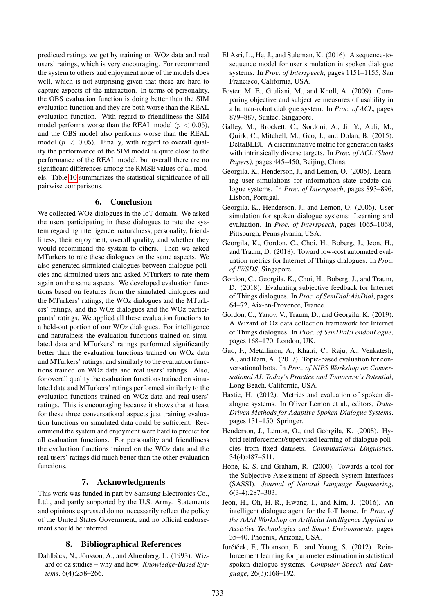predicted ratings we get by training on WOz data and real users' ratings, which is very encouraging. For recommend the system to others and enjoyment none of the models does well, which is not surprising given that these are hard to capture aspects of the interaction. In terms of personality, the OBS evaluation function is doing better than the SIM evaluation function and they are both worse than the REAL evaluation function. With regard to friendliness the SIM model performs worse than the REAL model ( $p < 0.05$ ), and the OBS model also performs worse than the REAL model ( $p < 0.05$ ). Finally, with regard to overall quality the performance of the SIM model is quite close to the performance of the REAL model, but overall there are no significant differences among the RMSE values of all models. Table [10](#page-6-3) summarizes the statistical significance of all pairwise comparisons.

#### 6. Conclusion

We collected WOz dialogues in the IoT domain. We asked the users participating in these dialogues to rate the system regarding intelligence, naturalness, personality, friendliness, their enjoyment, overall quality, and whether they would recommend the system to others. Then we asked MTurkers to rate these dialogues on the same aspects. We also generated simulated dialogues between dialogue policies and simulated users and asked MTurkers to rate them again on the same aspects. We developed evaluation functions based on features from the simulated dialogues and the MTurkers' ratings, the WOz dialogues and the MTurkers' ratings, and the WOz dialogues and the WOz participants' ratings. We applied all these evaluation functions to a held-out portion of our WOz dialogues. For intelligence and naturalness the evaluation functions trained on simulated data and MTurkers' ratings performed significantly better than the evaluation functions trained on WOz data and MTurkers' ratings, and similarly to the evaluation functions trained on WOz data and real users' ratings. Also, for overall quality the evaluation functions trained on simulated data and MTurkers' ratings performed similarly to the evaluation functions trained on WOz data and real users' ratings. This is encouraging because it shows that at least for these three conversational aspects just training evaluation functions on simulated data could be sufficient. Recommend the system and enjoyment were hard to predict for all evaluation functions. For personality and friendliness the evaluation functions trained on the WOz data and the real users' ratings did much better than the other evaluation functions.

# 7. Acknowledgments

This work was funded in part by Samsung Electronics Co., Ltd., and partly supported by the U.S. Army. Statements and opinions expressed do not necessarily reflect the policy of the United States Government, and no official endorsement should be inferred.

# 8. Bibliographical References

<span id="page-7-0"></span>Dahlbäck, N., Jönsson, A., and Ahrenberg, L. (1993). Wizard of oz studies – why and how. *Knowledge-Based Systems*, 6(4):258–266.

- <span id="page-7-1"></span>El Asri, L., He, J., and Suleman, K. (2016). A sequence-tosequence model for user simulation in spoken dialogue systems. In *Proc. of Interspeech*, pages 1151–1155, San Francisco, California, USA.
- <span id="page-7-9"></span>Foster, M. E., Giuliani, M., and Knoll, A. (2009). Comparing objective and subjective measures of usability in a human-robot dialogue system. In *Proc. of ACL*, pages 879–887, Suntec, Singapore.
- <span id="page-7-12"></span>Galley, M., Brockett, C., Sordoni, A., Ji, Y., Auli, M., Quirk, C., Mitchell, M., Gao, J., and Dolan, B. (2015). DeltaBLEU: A discriminative metric for generation tasks with intrinsically diverse targets. In *Proc. of ACL (Short Papers)*, pages 445–450, Beijing, China.
- <span id="page-7-10"></span>Georgila, K., Henderson, J., and Lemon, O. (2005). Learning user simulations for information state update dialogue systems. In *Proc. of Interspeech*, pages 893–896, Lisbon, Portugal.
- <span id="page-7-11"></span>Georgila, K., Henderson, J., and Lemon, O. (2006). User simulation for spoken dialogue systems: Learning and evaluation. In *Proc. of Interspeech*, pages 1065–1068, Pittsburgh, Pennsylvania, USA.
- <span id="page-7-2"></span>Georgila, K., Gordon, C., Choi, H., Boberg, J., Jeon, H., and Traum, D. (2018). Toward low-cost automated evaluation metrics for Internet of Things dialogues. In *Proc. of IWSDS*, Singapore.
- <span id="page-7-4"></span>Gordon, C., Georgila, K., Choi, H., Boberg, J., and Traum, D. (2018). Evaluating subjective feedback for Internet of Things dialogues. In *Proc. of SemDial:AixDial*, pages 64–72, Aix-en-Provence, France.
- <span id="page-7-14"></span>Gordon, C., Yanov, V., Traum, D., and Georgila, K. (2019). A Wizard of Oz data collection framework for Internet of Things dialogues. In *Proc. of SemDial:LondonLogue*, pages 168–170, London, UK.
- <span id="page-7-13"></span>Guo, F., Metallinou, A., Khatri, C., Raju, A., Venkatesh, A., and Ram, A. (2017). Topic-based evaluation for conversational bots. In *Proc. of NIPS Workshop on Conversational AI: Today's Practice and Tomorrow's Potential*, Long Beach, California, USA.
- <span id="page-7-5"></span>Hastie, H. (2012). Metrics and evaluation of spoken dialogue systems. In Oliver Lemon et al., editors, *Data-Driven Methods for Adaptive Spoken Dialogue Systems*, pages 131–150. Springer.
- <span id="page-7-8"></span>Henderson, J., Lemon, O., and Georgila, K. (2008). Hybrid reinforcement/supervised learning of dialogue policies from fixed datasets. *Computational Linguistics*, 34(4):487–511.
- <span id="page-7-6"></span>Hone, K. S. and Graham, R. (2000). Towards a tool for the Subjective Assessment of Speech System Interfaces (SASSI). *Journal of Natural Language Engineering*, 6(3-4):287–303.
- <span id="page-7-3"></span>Jeon, H., Oh, H. R., Hwang, I., and Kim, J. (2016). An intelligent dialogue agent for the IoT home. In *Proc. of the AAAI Workshop on Artificial Intelligence Applied to Assistive Technologies and Smart Environments*, pages 35–40, Phoenix, Arizona, USA.
- <span id="page-7-7"></span>Jurčíček, F., Thomson, B., and Young, S. (2012). Reinforcement learning for parameter estimation in statistical spoken dialogue systems. *Computer Speech and Language*, 26(3):168–192.